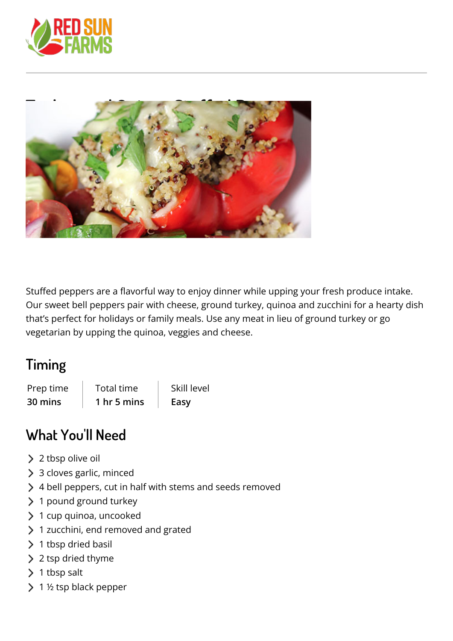



Stuffed peppers are a flavorful way to enjoy dinner while upping your fresh produce intake. Our sweet bell peppers pair with cheese, ground turkey, quinoa and zucchini for a hearty dish that's perfect for holidays or family meals. Use any meat in lieu of ground turkey or go vegetarian by upping the quinoa, veggies and cheese.

## **Timing**

| Prep time | Total time  | Skill level |
|-----------|-------------|-------------|
| 30 mins   | 1 hr 5 mins | Easy        |

## **What You'll Need**

- > 2 tbsp olive oil
- > 3 cloves garlic, minced
- 4 bell peppers, cut in half with stems and seeds removed
- > 1 pound ground turkey
- > 1 cup quinoa, uncooked
- > 1 zucchini, end removed and grated
- > 1 tbsp dried basil
- > 2 tsp dried thyme
- $\geq 1$  tbsp salt
- > 1 ½ tsp black pepper